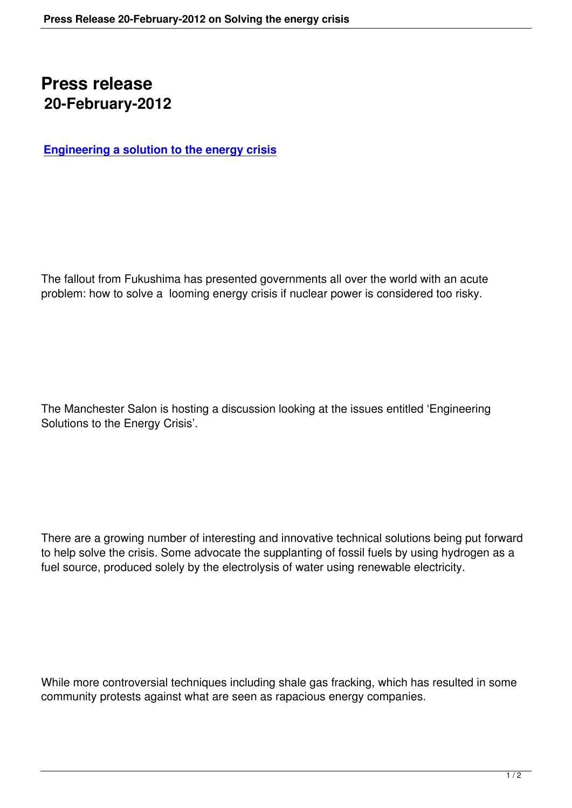## **Press release 20-February-2012**

**Engineering a solution to the energy crisis**

The fallout from Fukushima has presented governments all over the world with an acute problem: how to solve a looming energy crisis if nuclear power is considered too risky.

The Manchester Salon is hosting a discussion looking at the issues entitled 'Engineering Solutions to the Energy Crisis'.

There are a growing number of interesting and innovative technical solutions being put forward to help solve the crisis. Some advocate the supplanting of fossil fuels by using hydrogen as a fuel source, produced solely by the electrolysis of water using renewable electricity.

While more controversial techniques including shale gas fracking, which has resulted in some community protests against what are seen as rapacious energy companies.